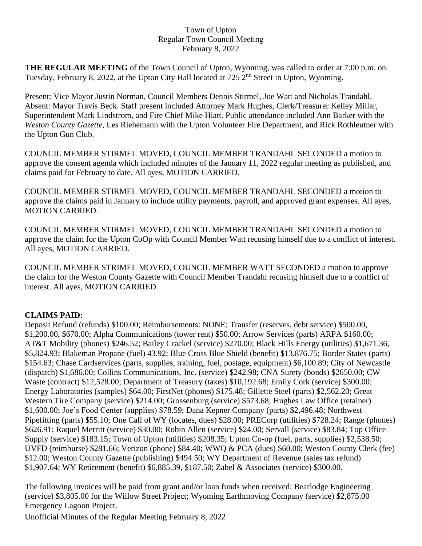## Town of Upton Regular Town Council Meeting February 8, 2022

**THE REGULAR MEETING** of the Town Council of Upton, Wyoming, was called to order at 7:00 p.m. on Tuesday, February 8, 2022, at the Upton City Hall located at 725 2<sup>nd</sup> Street in Upton, Wyoming.

Present: Vice Mayor Justin Norman, Council Members Dennis Stirmel, Joe Watt and Nicholas Trandahl. Absent: Mayor Travis Beck. Staff present included Attorney Mark Hughes, Clerk/Treasurer Kelley Millar, Superintendent Mark Lindstrom, and Fire Chief Mike Hiatt. Public attendance included Ann Barker with the *Weston County Gazette*, Les Riehemann with the Upton Volunteer Fire Department, and Rick Rothleutner with the Upton Gun Club.

COUNCIL MEMBER STIRMEL MOVED, COUNCIL MEMBER TRANDAHL SECONDED a motion to approve the consent agenda which included minutes of the January 11, 2022 regular meeting as published, and claims paid for February to date. All ayes, MOTION CARRIED.

COUNCIL MEMBER STIRMEL MOVED, COUNCIL MEMBER TRANDAHL SECONDED a motion to approve the claims paid in January to include utility payments, payroll, and approved grant expenses. All ayes, MOTION CARRIED.

COUNCIL MEMBER STIRMEL MOVED, COUNCIL MEMBER TRANDAHL SECONDED a motion to approve the claim for the Upton CoOp with Council Member Watt recusing himself due to a conflict of interest. All ayes, MOTION CARRIED.

COUNCIL MEMBER STRIMEL MOVED, COUNCIL MEMBER WATT SECONDED a motion to approve the claim for the Weston County Gazette with Council Member Trandahl recusing himself due to a conflict of interest. All ayes, MOTION CARRIED.

## **CLAIMS PAID:**

Deposit Refund (refunds) \$100.00; Reimbursements: NONE; Transfer (reserves, debt service) \$500.00, \$1,200.00, \$670.00; Alpha Communications (tower rent) \$50.00; Arrow Services (parts) ARPA \$160.00; AT&T Mobility (phones) \$246.52; Bailey Crackel (service) \$270.00; Black Hills Energy (utilities) \$1,671.36, \$5,824.93; Blakeman Propane (fuel) 43.92; Blue Cross Blue Shield (benefit) \$13,876.75; Border States (parts) \$154.63; Chase Cardservices (parts, supplies, training, fuel, postage, equipment) \$6,100.89; City of Newcastle (dispatch) \$1,686.00; Collins Communications, Inc. (service) \$242.98; CNA Surety (bonds) \$2650.00; CW Waste (contract) \$12,528.00; Department of Treasury (taxes) \$10,192.68; Emily Cork (service) \$300.00; Energy Laboratories (samples) \$64.00; FirstNet (phones) \$175.48; Gillette Steel (parts) \$2,562.20; Great Western Tire Company (service) \$214.00; Grossenburg (service) \$573.68; Hughes Law Office (retainer) \$1,600.00; Joe's Food Center (supplies) \$78.59; Dana Kepner Company (parts) \$2,496.48; Northwest Pipefitting (parts) \$55.10; One Call of WY (locates, dues) \$28.00; PRECorp (utilities) \$728.24; Range (phones) \$626.91; Raquel Merritt (service) \$30.00; Robin Allen (service) \$24.00; Servall (service) \$83.84; Top Office Supply (service) \$183.15; Town of Upton (utilities) \$208.35; Upton Co-op (fuel, parts, supplies) \$2,538.50; UVFD (reimburse) \$281.66; Verizon (phone) \$84.40; WWQ & PCA (dues) \$60.00; Weston County Clerk (fee) \$12.00; Weston County Gazette (publishing) \$494.50; WY Department of Revenue (sales tax refund) \$1,907.64; WY Retirement (benefit) \$6,885.39, \$187.50; Zabel & Associates (service) \$300.00.

The following invoices will be paid from grant and/or loan funds when received: Bearlodge Engineering (service) \$3,805.00 for the Willow Street Project; Wyoming Earthmoving Company (service) \$2,875.00 Emergency Lagoon Project.

Unofficial Minutes of the Regular Meeting February 8, 2022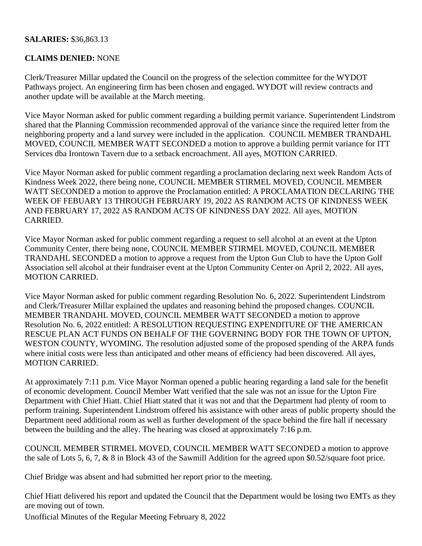## **SALARIES:** \$36,863.13

## **CLAIMS DENIED:** NONE

Clerk/Treasurer Millar updated the Council on the progress of the selection committee for the WYDOT Pathways project. An engineering firm has been chosen and engaged. WYDOT will review contracts and another update will be available at the March meeting.

Vice Mayor Norman asked for public comment regarding a building permit variance. Superintendent Lindstrom shared that the Planning Commission recommended approval of the variance since the required letter from the neighboring property and a land survey were included in the application. COUNCIL MEMBER TRANDAHL MOVED, COUNCIL MEMBER WATT SECONDED a motion to approve a building permit variance for ITT Services dba Irontown Tavern due to a setback encroachment. All ayes, MOTION CARRIED.

Vice Mayor Norman asked for public comment regarding a proclamation declaring next week Random Acts of Kindness Week 2022, there being none, COUNCIL MEMBER STIRMEL MOVED, COUNCIL MEMBER WATT SECONDED a motion to approve the Proclamation entitled: A PROCLAMATION DECLARING THE WEEK OF FEBUARY 13 THROUGH FEBRUARY 19, 2022 AS RANDOM ACTS OF KINDNESS WEEK AND FEBRUARY 17, 2022 AS RANDOM ACTS OF KINDNESS DAY 2022. All ayes, MOTION CARRIED.

Vice Mayor Norman asked for public comment regarding a request to sell alcohol at an event at the Upton Community Center, there being none, COUNCIL MEMBER STIRMEL MOVED, COUNCIL MEMBER TRANDAHL SECONDED a motion to approve a request from the Upton Gun Club to have the Upton Golf Association sell alcohol at their fundraiser event at the Upton Community Center on April 2, 2022. All ayes, MOTION CARRIED.

Vice Mayor Norman asked for public comment regarding Resolution No. 6, 2022. Superintendent Lindstrom and Clerk/Treasurer Millar explained the updates and reasoning behind the proposed changes. COUNCIL MEMBER TRANDAHL MOVED, COUNCIL MEMBER WATT SECONDED a motion to approve Resolution No. 6, 2022 entitled: A RESOLUTION REQUESTING EXPENDITURE OF THE AMERICAN RESCUE PLAN ACT FUNDS ON BEHALF OF THE GOVERNING BODY FOR THE TOWN OF UPTON, WESTON COUNTY, WYOMING. The resolution adjusted some of the proposed spending of the ARPA funds where initial costs were less than anticipated and other means of efficiency had been discovered. All ayes, MOTION CARRIED.

At approximately 7:11 p.m. Vice Mayor Norman opened a public hearing regarding a land sale for the benefit of economic development. Council Member Watt verified that the sale was not an issue for the Upton Fire Department with Chief Hiatt. Chief Hiatt stated that it was not and that the Department had plenty of room to perform training. Superintendent Lindstrom offered his assistance with other areas of public property should the Department need additional room as well as further development of the space behind the fire hall if necessary between the building and the alley. The hearing was closed at approximately 7:16 p.m.

COUNCIL MEMBER STIRMEL MOVED, COUNCIL MEMBER WATT SECONDED a motion to approve the sale of Lots 5, 6, 7, & 8 in Block 43 of the Sawmill Addition for the agreed upon \$0.52/square foot price.

Chief Bridge was absent and had submitted her report prior to the meeting.

Chief Hiatt delivered his report and updated the Council that the Department would be losing two EMTs as they are moving out of town.

Unofficial Minutes of the Regular Meeting February 8, 2022